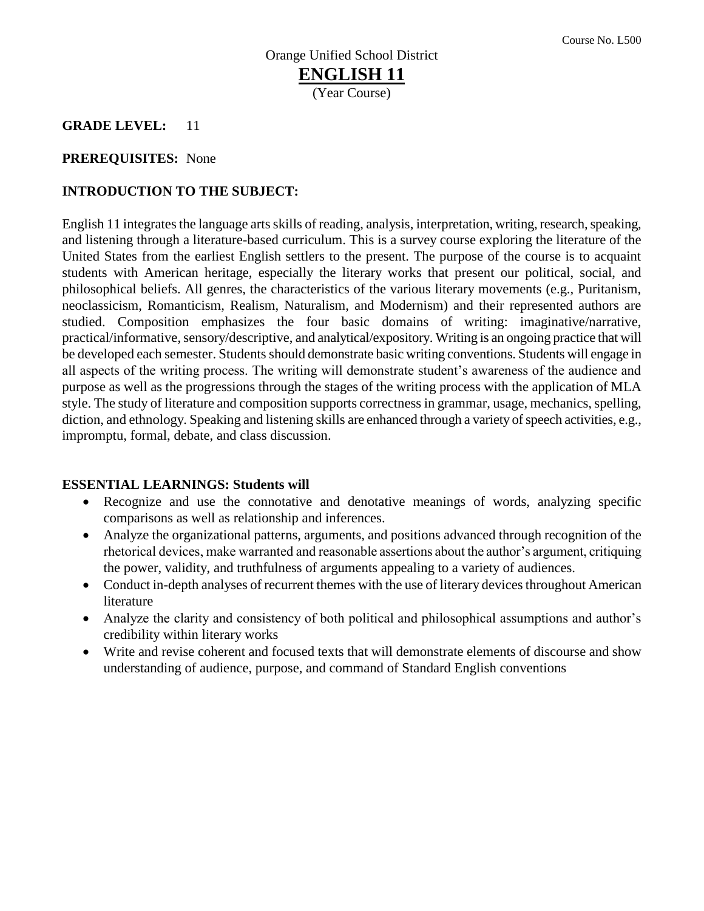#### **GRADE LEVEL:** 11

#### **PREREQUISITES:** None

#### **INTRODUCTION TO THE SUBJECT:**

English 11 integrates the language arts skills of reading, analysis, interpretation, writing, research, speaking, and listening through a literature-based curriculum. This is a survey course exploring the literature of the United States from the earliest English settlers to the present. The purpose of the course is to acquaint students with American heritage, especially the literary works that present our political, social, and philosophical beliefs. All genres, the characteristics of the various literary movements (e.g., Puritanism, neoclassicism, Romanticism, Realism, Naturalism, and Modernism) and their represented authors are studied. Composition emphasizes the four basic domains of writing: imaginative/narrative, practical/informative, sensory/descriptive, and analytical/expository. Writing is an ongoing practice that will be developed each semester. Students should demonstrate basic writing conventions. Students will engage in all aspects of the writing process. The writing will demonstrate student's awareness of the audience and purpose as well as the progressions through the stages of the writing process with the application of MLA style. The study of literature and composition supports correctness in grammar, usage, mechanics, spelling, diction, and ethnology. Speaking and listening skills are enhanced through a variety of speech activities, e.g., impromptu, formal, debate, and class discussion.

#### **ESSENTIAL LEARNINGS: Students will**

- Recognize and use the connotative and denotative meanings of words, analyzing specific comparisons as well as relationship and inferences.
- Analyze the organizational patterns, arguments, and positions advanced through recognition of the rhetorical devices, make warranted and reasonable assertions about the author's argument, critiquing the power, validity, and truthfulness of arguments appealing to a variety of audiences.
- Conduct in-depth analyses of recurrent themes with the use of literary devices throughout American literature
- Analyze the clarity and consistency of both political and philosophical assumptions and author's credibility within literary works
- Write and revise coherent and focused texts that will demonstrate elements of discourse and show understanding of audience, purpose, and command of Standard English conventions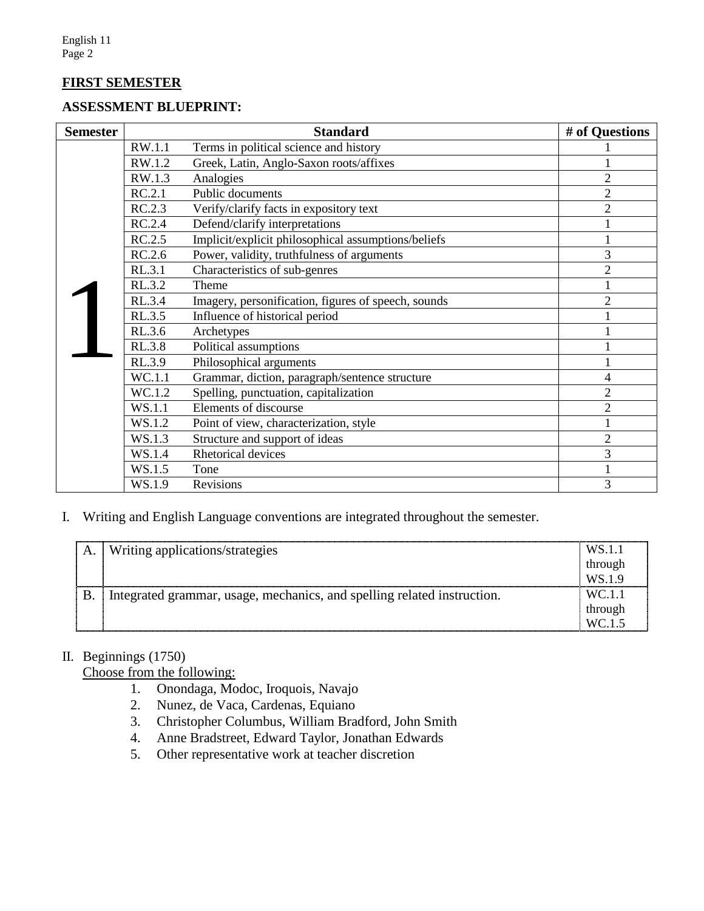## **FIRST SEMESTER**

#### **ASSESSMENT BLUEPRINT:**

| <b>Semester</b> |        | <b>Standard</b>                                     | # of Questions |
|-----------------|--------|-----------------------------------------------------|----------------|
|                 | RW.1.1 | Terms in political science and history              |                |
|                 | RW.1.2 | Greek, Latin, Anglo-Saxon roots/affixes             |                |
|                 | RW.1.3 | Analogies                                           | $\overline{2}$ |
|                 | RC.2.1 | Public documents                                    | $\overline{2}$ |
|                 | RC.2.3 | Verify/clarify facts in expository text             | $\overline{2}$ |
|                 | RC.2.4 | Defend/clarify interpretations                      |                |
|                 | RC.2.5 | Implicit/explicit philosophical assumptions/beliefs |                |
|                 | RC.2.6 | Power, validity, truthfulness of arguments          | 3              |
|                 | RL.3.1 | Characteristics of sub-genres                       | $\overline{2}$ |
|                 | RL.3.2 | Theme                                               |                |
|                 | RL.3.4 | Imagery, personification, figures of speech, sounds | $\overline{2}$ |
|                 | RL.3.5 | Influence of historical period                      |                |
|                 | RL.3.6 | Archetypes                                          |                |
|                 | RL.3.8 | Political assumptions                               |                |
|                 | RL.3.9 | Philosophical arguments                             |                |
|                 | WC.1.1 | Grammar, diction, paragraph/sentence structure      | $\overline{4}$ |
|                 | WC.1.2 | Spelling, punctuation, capitalization               | $\overline{2}$ |
|                 | WS.1.1 | Elements of discourse                               | $\overline{2}$ |
|                 | WS.1.2 | Point of view, characterization, style              |                |
|                 | WS.1.3 | Structure and support of ideas                      | $\overline{2}$ |
|                 | WS.1.4 | Rhetorical devices                                  | 3              |
|                 | WS.1.5 | Tone                                                |                |
|                 | WS.1.9 | <b>Revisions</b>                                    | 3              |

#### I. Writing and English Language conventions are integrated throughout the semester.

|  | А. | Writing applications/strategies                                         | WS.1.           |
|--|----|-------------------------------------------------------------------------|-----------------|
|  |    |                                                                         | through         |
|  |    |                                                                         | WS.1.           |
|  | B  | Integrated grammar, usage, mechanics, and spelling related instruction. |                 |
|  |    |                                                                         | through         |
|  |    |                                                                         | WC <sub>1</sub> |

## II. Beginnings (1750)

Choose from the following:

- 1. Onondaga, Modoc, Iroquois, Navajo
- 2. Nunez, de Vaca, Cardenas, Equiano
- 3. Christopher Columbus, William Bradford, John Smith
- 4. Anne Bradstreet, Edward Taylor, Jonathan Edwards
- 5. Other representative work at teacher discretion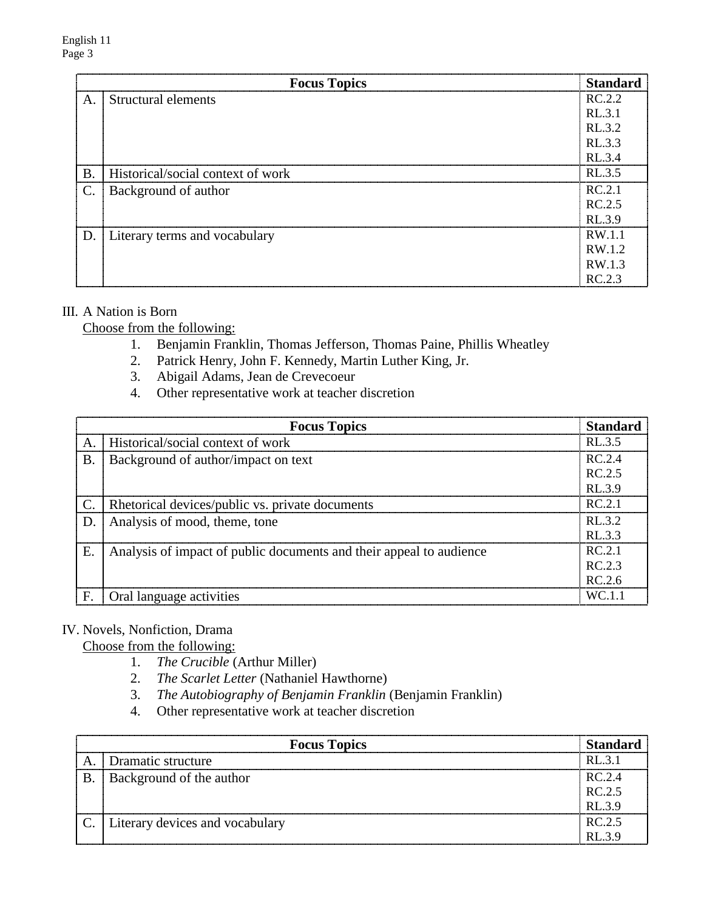|                 | <b>Focus Topics</b>               | Standard |
|-----------------|-----------------------------------|----------|
| A.              | Structural elements               | RC.2.2   |
|                 |                                   | RL.3.1   |
|                 |                                   | RL.3.2   |
|                 |                                   | RL.3.3   |
|                 |                                   | RL.3.4   |
| <b>B</b> .      | Historical/social context of work | RL.3.5   |
| $\mathcal{C}$ . | Background of author              | RC.2.1   |
|                 |                                   | RC.2.5   |
|                 |                                   | RL.3.9   |
|                 | D. Literary terms and vocabulary  | RW.1.1   |
|                 |                                   | RW.1.2   |
|                 |                                   | RW.1.3   |
|                 |                                   | RC.2.3   |

## III. A Nation is Born

Choose from the following:

- 1. Benjamin Franklin, Thomas Jefferson, Thomas Paine, Phillis Wheatley
- 2. Patrick Henry, John F. Kennedy, Martin Luther King, Jr.
- 3. Abigail Adams, Jean de Crevecoeur
- 4. Other representative work at teacher discretion

|       | <b>Focus Topics</b>                                                 | <b>Standard</b> |
|-------|---------------------------------------------------------------------|-----------------|
| A     | Historical/social context of work                                   | RL 3.5          |
| $B$ . | Background of author/impact on text                                 | RC.2.4          |
|       |                                                                     | RC.2.5          |
|       |                                                                     | RL3.9           |
|       | Rhetorical devices/public vs. private documents                     | RC.2.1          |
| D.    | Analysis of mood, theme, tone                                       | RL 32           |
|       |                                                                     | RI.33           |
| Ε.    | Analysis of impact of public documents and their appeal to audience | RC.2.1          |
|       |                                                                     | RC.2.3          |
|       |                                                                     | RC.2.6          |
| F.    | Oral language activities                                            | WC 11           |

#### IV. Novels, Nonfiction, Drama

Choose from the following:

- 1. *The Crucible* (Arthur Miller)
- 2. *The Scarlet Letter* (Nathaniel Hawthorne)
- 3. *The Autobiography of Benjamin Franklin* (Benjamin Franklin)
- 4. Other representative work at teacher discretion

|   | <b>Focus Topics</b>                  |          |
|---|--------------------------------------|----------|
|   | Dramatic structure                   | $RI$ 3 1 |
| B | Background of the author             | RC24     |
|   |                                      | RC25     |
|   |                                      |          |
|   | C.   Literary devices and vocabulary | RC25     |
|   |                                      |          |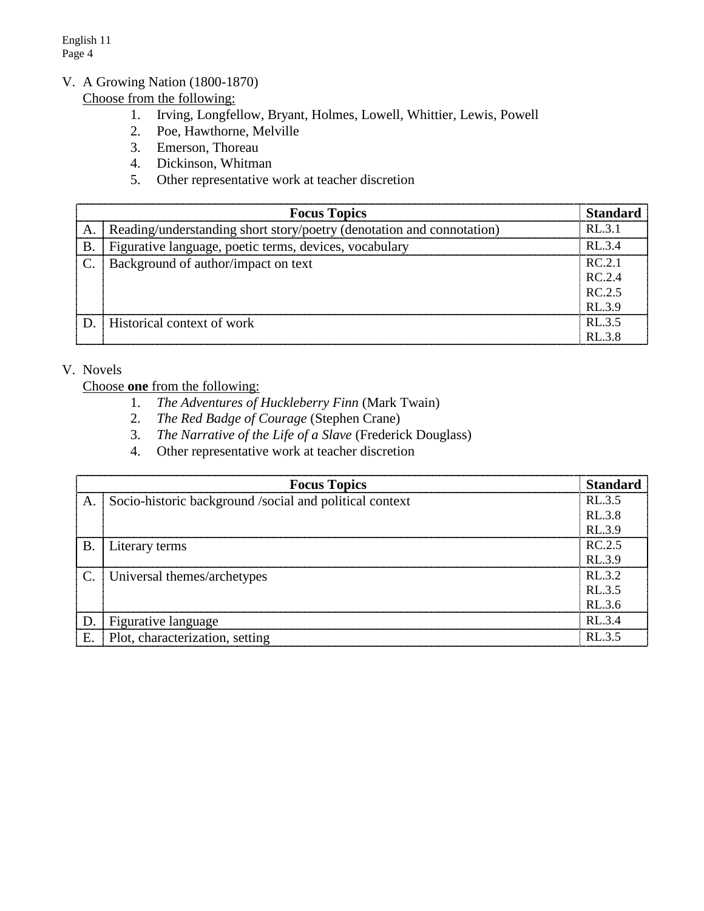English 11 Page 4

## V. A Growing Nation (1800-1870)

Choose from the following:

- 1. Irving, Longfellow, Bryant, Holmes, Lowell, Whittier, Lewis, Powell
- 2. Poe, Hawthorne, Melville
- 3. Emerson, Thoreau
- 4. Dickinson, Whitman
- 5. Other representative work at teacher discretion

| <b>Focus Topics</b> |                                                                       |        |
|---------------------|-----------------------------------------------------------------------|--------|
|                     | Reading/understanding short story/poetry (denotation and connotation) | RI.31  |
| <b>B.</b>           | Figurative language, poetic terms, devices, vocabulary                | RL 3.4 |
|                     | Background of author/impact on text                                   | RC.2.1 |
|                     |                                                                       | RC.2.4 |
|                     |                                                                       | RC.2.5 |
|                     |                                                                       | RL3.9  |
|                     | Historical context of work                                            | RL3.5  |
|                     |                                                                       | RL3.8  |

#### V. Novels

Choose **one** from the following:

- 1. *The Adventures of Huckleberry Finn* (Mark Twain)
- 2. *The Red Badge of Courage* (Stephen Crane)
- 3. *The Narrative of the Life of a Slave* (Frederick Douglass)
- 4. Other representative work at teacher discretion

| <b>Focus Topics</b><br><b>Standard</b> |                                                         |        |
|----------------------------------------|---------------------------------------------------------|--------|
| A.                                     | Socio-historic background /social and political context | RL.3.5 |
|                                        |                                                         | RL.3.8 |
|                                        |                                                         | RL.3.9 |
| В.                                     | Literary terms                                          | RC.2.5 |
|                                        |                                                         | RL.3.9 |
| $\mathcal{C}$ .                        | Universal themes/archetypes                             | RL.3.2 |
|                                        |                                                         | RL.3.5 |
|                                        |                                                         | RL.3.6 |
|                                        | Figurative language                                     | RL 3.4 |
| E                                      | Plot, characterization, setting                         | RI.35  |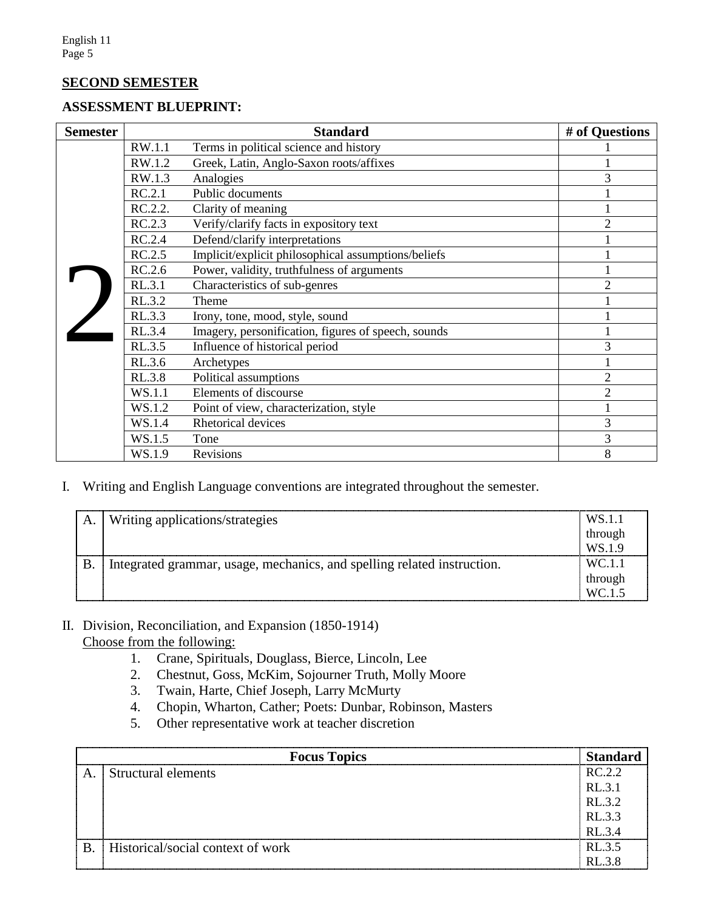#### **SECOND SEMESTER**

#### **ASSESSMENT BLUEPRINT:**

| <b>Semester</b> |               | <b>Standard</b>                                     | # of Questions |
|-----------------|---------------|-----------------------------------------------------|----------------|
|                 | RW.1.1        | Terms in political science and history              |                |
|                 | RW.1.2        | Greek, Latin, Anglo-Saxon roots/affixes             |                |
|                 | RW.1.3        | Analogies                                           | 3              |
|                 | RC.2.1        | Public documents                                    |                |
|                 | RC.2.2.       | Clarity of meaning                                  |                |
|                 | RC.2.3        | Verify/clarify facts in expository text             | $\overline{2}$ |
|                 | RC.2.4        | Defend/clarify interpretations                      |                |
|                 | RC.2.5        | Implicit/explicit philosophical assumptions/beliefs |                |
|                 | RC.2.6        | Power, validity, truthfulness of arguments          |                |
|                 | RL.3.1        | Characteristics of sub-genres                       | $\overline{2}$ |
|                 | RL.3.2        | Theme                                               |                |
|                 | RL.3.3        | Irony, tone, mood, style, sound                     |                |
|                 | RL.3.4        | Imagery, personification, figures of speech, sounds |                |
|                 | RL.3.5        | Influence of historical period                      | 3              |
|                 | RL.3.6        | Archetypes                                          |                |
|                 | <b>RL.3.8</b> | Political assumptions                               | $\overline{2}$ |
|                 | WS.1.1        | Elements of discourse                               | $\overline{2}$ |
|                 | WS.1.2        | Point of view, characterization, style              |                |
|                 | WS.1.4        | Rhetorical devices                                  | 3              |
|                 | WS.1.5        | Tone                                                | 3              |
|                 | WS.1.9        | <b>Revisions</b>                                    | 8              |

I. Writing and English Language conventions are integrated throughout the semester.

| A | Writing applications/strategies                                         | WS 1.   |
|---|-------------------------------------------------------------------------|---------|
|   |                                                                         | through |
|   |                                                                         |         |
|   | Integrated grammar, usage, mechanics, and spelling related instruction. |         |
|   |                                                                         | through |
|   |                                                                         |         |

#### II. Division, Reconciliation, and Expansion (1850-1914) Choose from the following:

- 1. Crane, Spirituals, Douglass, Bierce, Lincoln, Lee
- 2. Chestnut, Goss, McKim, Sojourner Truth, Molly Moore
- 3. Twain, Harte, Chief Joseph, Larry McMurty
- 4. Chopin, Wharton, Cather; Poets: Dunbar, Robinson, Masters
- 5. Other representative work at teacher discretion

|   | <b>Focus Topics</b>               |              |
|---|-----------------------------------|--------------|
| A | Structural elements               | RC22         |
|   |                                   | RI.31        |
|   |                                   | RL.3.2       |
|   |                                   | RL.3.3       |
| . |                                   |              |
| B | Historical/social context of work | RL.3.5       |
|   |                                   | $R1 \t3 \t8$ |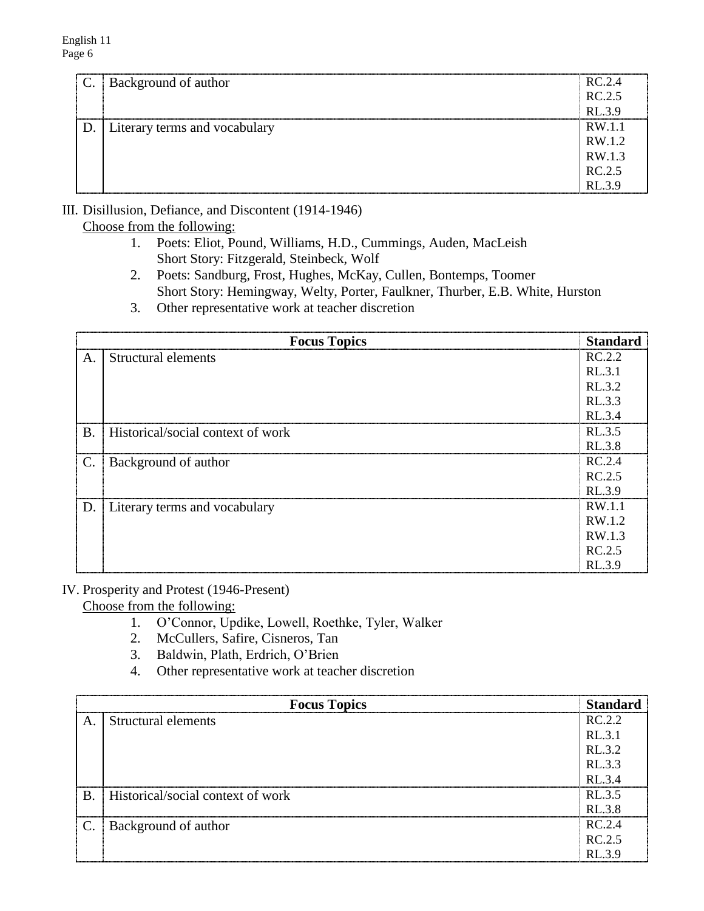| $\mathbf{C}$ . | <b>Background of author</b>   | RC.2.4 |
|----------------|-------------------------------|--------|
|                |                               | RC.2.5 |
|                |                               | RL.3.9 |
| D.             | Literary terms and vocabulary | RW.1.1 |
|                |                               | RW.1.2 |
|                |                               | RW.1.3 |
|                |                               | RC.2.5 |
|                |                               | RL.3.9 |

III. Disillusion, Defiance, and Discontent (1914-1946)

Choose from the following:

- 1. Poets: Eliot, Pound, Williams, H.D., Cummings, Auden, MacLeish Short Story: Fitzgerald, Steinbeck, Wolf
- 2. Poets: Sandburg, Frost, Hughes, McKay, Cullen, Bontemps, Toomer Short Story: Hemingway, Welty, Porter, Faulkner, Thurber, E.B. White, Hurston
- 3. Other representative work at teacher discretion

|                | <b>Focus Topics</b>               | <b>Standard</b> |
|----------------|-----------------------------------|-----------------|
| A.             | Structural elements               | RC.2.2          |
|                |                                   | RL.3.1          |
|                |                                   | RL.3.2          |
|                |                                   | RL.3.3          |
|                |                                   | RL.3.4          |
| <b>B.</b>      | Historical/social context of work | RL.3.5          |
|                |                                   | RL.3.8          |
| $\mathbf{C}$ . | Background of author              | RC.2.4          |
|                |                                   | RC.2.5          |
|                |                                   | RL.3.9          |
|                | D. Literary terms and vocabulary  | RW.1.1          |
|                |                                   | RW.1.2          |
|                |                                   | RW.1.3          |
|                |                                   | RC.2.5          |
|                |                                   | RL.3.9          |

## IV. Prosperity and Protest (1946-Present)

Choose from the following:

- 1. O'Connor, Updike, Lowell, Roethke, Tyler, Walker
- 2. McCullers, Safire, Cisneros, Tan
- 3. Baldwin, Plath, Erdrich, O'Brien
- 4. Other representative work at teacher discretion

| <b>Focus Topics</b> |                                   | <b>Standard</b> |
|---------------------|-----------------------------------|-----------------|
| A.                  | Structural elements               | RC.2.2          |
|                     |                                   | RL.3.1          |
|                     |                                   | RL.3.2          |
|                     |                                   | RL.3.3          |
|                     |                                   | RL.3.4          |
| <b>B.</b>           | Historical/social context of work | RL.3.5          |
|                     |                                   | RL.3.8          |
|                     | Background of author              | RC.2.4          |
|                     |                                   | RC.2.5          |
|                     |                                   | RL.3.9          |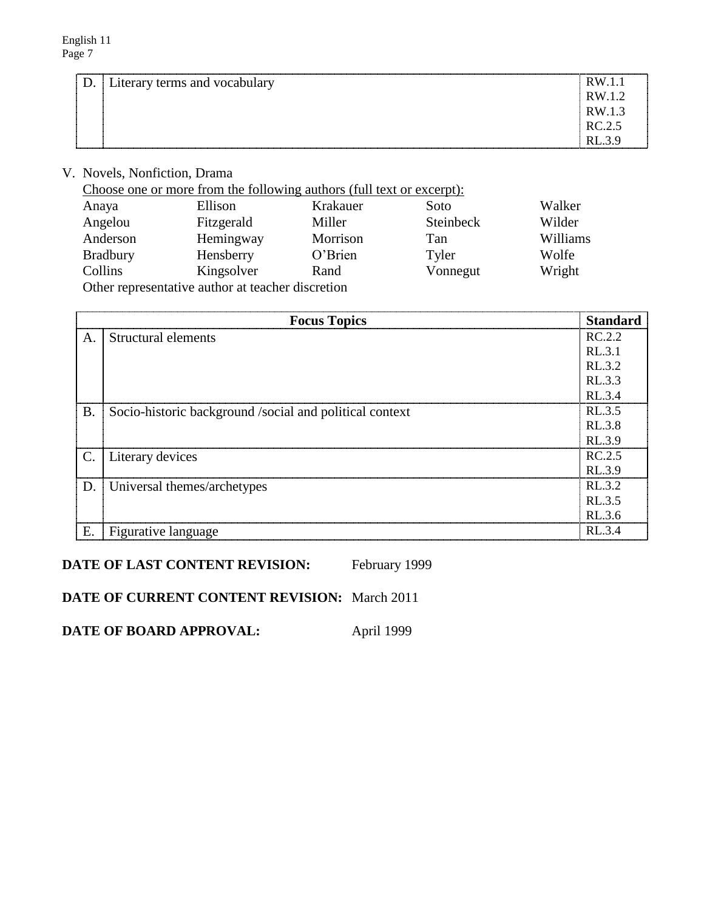| D. Literary terms and vocabulary | RW 1.1 |
|----------------------------------|--------|
|                                  | RW 1.2 |
|                                  | RW 1.3 |
|                                  | RC.2.5 |
|                                  | RL.3.9 |

## V. Novels, Nonfiction, Drama

Choose one or more from the following authors (full text or excerpt):

| Anaya           | Ellison                                           | Krakauer | Soto      | Walker   |
|-----------------|---------------------------------------------------|----------|-----------|----------|
| Angelou         | Fitzgerald                                        | Miller   | Steinbeck | Wilder   |
| Anderson        | Hemingway                                         | Morrison | Tan       | Williams |
| <b>Bradbury</b> | Hensberry                                         | O'Brien  | Tyler     | Wolfe    |
| Collins         | Kingsolver                                        | Rand     | Vonnegut  | Wright   |
|                 | Other representative author at teacher discretion |          |           |          |

|           | <b>Focus Topics</b>                                     | <b>Standard</b> |
|-----------|---------------------------------------------------------|-----------------|
| Α.        | Structural elements                                     | RC.2.2          |
|           |                                                         | RL.3.1          |
|           |                                                         | RL.3.2          |
|           |                                                         | RL.3.3          |
|           |                                                         | RL.3.4          |
| <b>B.</b> | Socio-historic background /social and political context | RL.3.5          |
|           |                                                         | RL.3.8          |
|           |                                                         | RL.3.9          |
| C.        | Literary devices                                        | RC.2.5          |
|           |                                                         | RL.3.9          |
| D.        | Universal themes/archetypes                             | RL.3.2          |
|           |                                                         | RL.3.5          |
|           |                                                         | RL.3.6          |
| E.        | Figurative language                                     | RL 3.4          |

**DATE OF LAST CONTENT REVISION:** February 1999

**DATE OF CURRENT CONTENT REVISION:** March 2011

**DATE OF BOARD APPROVAL:** April 1999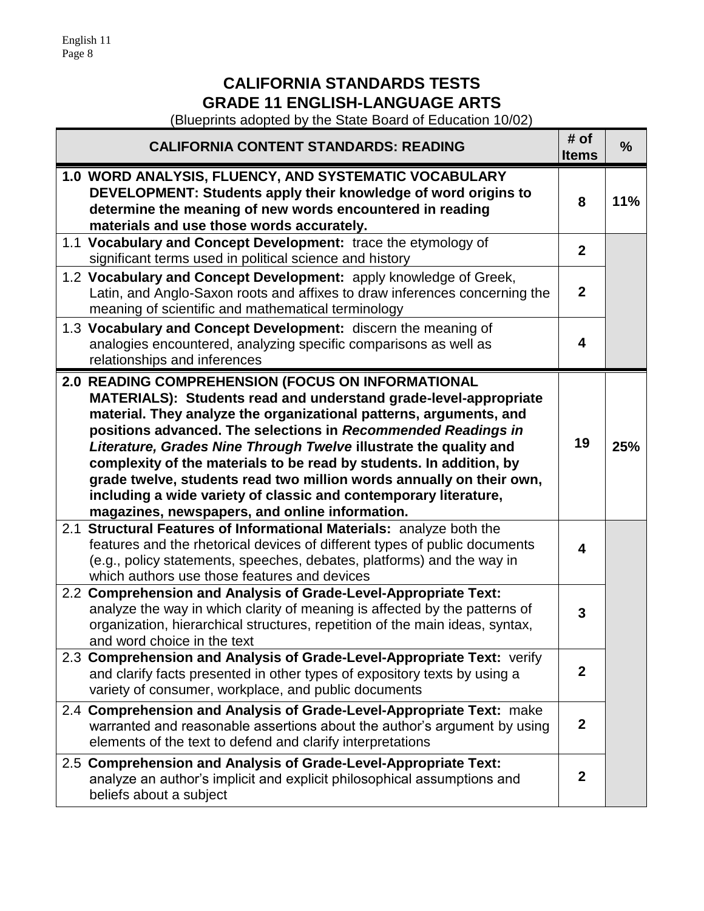English 11 Page 8

# **CALIFORNIA STANDARDS TESTS GRADE 11 ENGLISH-LANGUAGE ARTS**

(Blueprints adopted by the State Board of Education 10/02)

| <b>CALIFORNIA CONTENT STANDARDS: READING</b>                                                                                                                                                                                                                                                                                                                                                                                                                                                                                                                                                           | # of<br><b>Items</b>    | $\frac{9}{6}$ |
|--------------------------------------------------------------------------------------------------------------------------------------------------------------------------------------------------------------------------------------------------------------------------------------------------------------------------------------------------------------------------------------------------------------------------------------------------------------------------------------------------------------------------------------------------------------------------------------------------------|-------------------------|---------------|
| 1.0 WORD ANALYSIS, FLUENCY, AND SYSTEMATIC VOCABULARY<br>DEVELOPMENT: Students apply their knowledge of word origins to<br>determine the meaning of new words encountered in reading<br>materials and use those words accurately.                                                                                                                                                                                                                                                                                                                                                                      | 8                       | 11%           |
| 1.1 Vocabulary and Concept Development: trace the etymology of<br>significant terms used in political science and history                                                                                                                                                                                                                                                                                                                                                                                                                                                                              | $\mathbf{2}$            |               |
| 1.2 Vocabulary and Concept Development: apply knowledge of Greek,<br>Latin, and Anglo-Saxon roots and affixes to draw inferences concerning the<br>meaning of scientific and mathematical terminology                                                                                                                                                                                                                                                                                                                                                                                                  | $\mathbf{2}$            |               |
| 1.3 Vocabulary and Concept Development: discern the meaning of<br>analogies encountered, analyzing specific comparisons as well as<br>relationships and inferences                                                                                                                                                                                                                                                                                                                                                                                                                                     | 4                       |               |
| 2.0 READING COMPREHENSION (FOCUS ON INFORMATIONAL<br>MATERIALS): Students read and understand grade-level-appropriate<br>material. They analyze the organizational patterns, arguments, and<br>positions advanced. The selections in Recommended Readings in<br>Literature, Grades Nine Through Twelve illustrate the quality and<br>complexity of the materials to be read by students. In addition, by<br>grade twelve, students read two million words annually on their own,<br>including a wide variety of classic and contemporary literature,<br>magazines, newspapers, and online information. | 19                      | 25%           |
| 2.1 Structural Features of Informational Materials: analyze both the<br>features and the rhetorical devices of different types of public documents<br>(e.g., policy statements, speeches, debates, platforms) and the way in<br>which authors use those features and devices                                                                                                                                                                                                                                                                                                                           | $\overline{\mathbf{4}}$ |               |
| 2.2 Comprehension and Analysis of Grade-Level-Appropriate Text:<br>analyze the way in which clarity of meaning is affected by the patterns of<br>organization, hierarchical structures, repetition of the main ideas, syntax,<br>and word choice in the text                                                                                                                                                                                                                                                                                                                                           | 3                       |               |
| 2.3 Comprehension and Analysis of Grade-Level-Appropriate Text: verify<br>and clarify facts presented in other types of expository texts by using a<br>variety of consumer, workplace, and public documents                                                                                                                                                                                                                                                                                                                                                                                            | $\boldsymbol{2}$        |               |
| 2.4 Comprehension and Analysis of Grade-Level-Appropriate Text: make<br>warranted and reasonable assertions about the author's argument by using<br>elements of the text to defend and clarify interpretations                                                                                                                                                                                                                                                                                                                                                                                         | $\overline{2}$          |               |
| 2.5 Comprehension and Analysis of Grade-Level-Appropriate Text:<br>analyze an author's implicit and explicit philosophical assumptions and<br>beliefs about a subject                                                                                                                                                                                                                                                                                                                                                                                                                                  | $\boldsymbol{2}$        |               |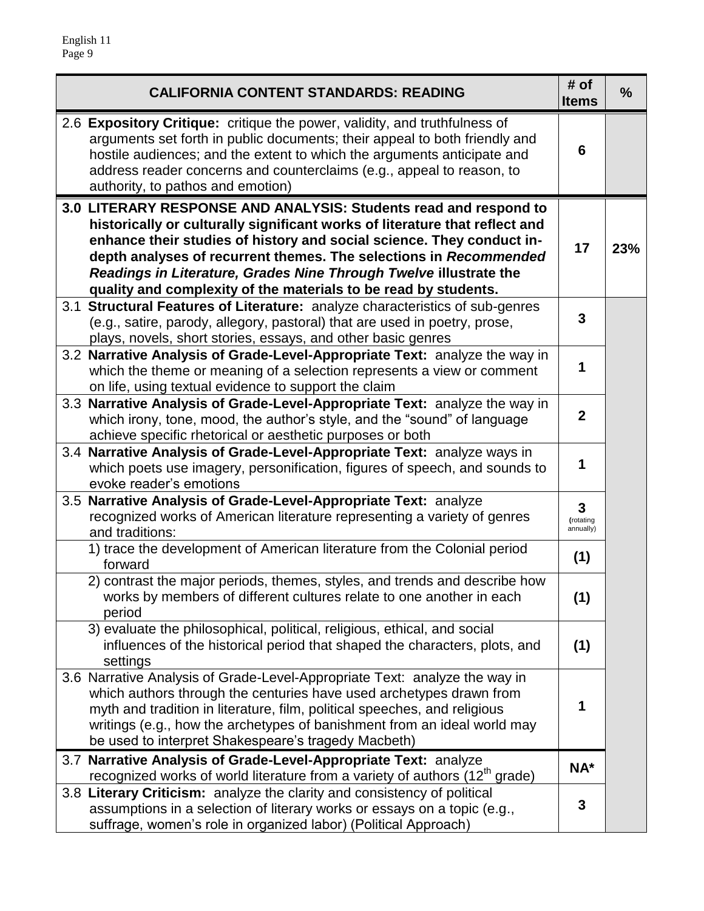| <b>CALIFORNIA CONTENT STANDARDS: READING</b><br><b>Items</b>                                                                                                                                                                                                                                                                                                                                                                          |                             |     |
|---------------------------------------------------------------------------------------------------------------------------------------------------------------------------------------------------------------------------------------------------------------------------------------------------------------------------------------------------------------------------------------------------------------------------------------|-----------------------------|-----|
| 2.6 Expository Critique: critique the power, validity, and truthfulness of<br>arguments set forth in public documents; their appeal to both friendly and<br>hostile audiences; and the extent to which the arguments anticipate and<br>address reader concerns and counterclaims (e.g., appeal to reason, to<br>authority, to pathos and emotion)                                                                                     | 6                           |     |
| 3.0 LITERARY RESPONSE AND ANALYSIS: Students read and respond to<br>historically or culturally significant works of literature that reflect and<br>enhance their studies of history and social science. They conduct in-<br>depth analyses of recurrent themes. The selections in Recommended<br>Readings in Literature, Grades Nine Through Twelve illustrate the<br>quality and complexity of the materials to be read by students. | 17                          | 23% |
| 3.1 Structural Features of Literature: analyze characteristics of sub-genres<br>(e.g., satire, parody, allegory, pastoral) that are used in poetry, prose,<br>plays, novels, short stories, essays, and other basic genres                                                                                                                                                                                                            | $\mathbf{3}$                |     |
| 3.2 Narrative Analysis of Grade-Level-Appropriate Text: analyze the way in<br>which the theme or meaning of a selection represents a view or comment<br>on life, using textual evidence to support the claim                                                                                                                                                                                                                          | 1                           |     |
| 3.3 Narrative Analysis of Grade-Level-Appropriate Text: analyze the way in<br>which irony, tone, mood, the author's style, and the "sound" of language<br>achieve specific rhetorical or aesthetic purposes or both                                                                                                                                                                                                                   | $\mathbf{2}$                |     |
| 3.4 Narrative Analysis of Grade-Level-Appropriate Text: analyze ways in<br>which poets use imagery, personification, figures of speech, and sounds to<br>evoke reader's emotions                                                                                                                                                                                                                                                      | 1                           |     |
| 3.5 Narrative Analysis of Grade-Level-Appropriate Text: analyze<br>recognized works of American literature representing a variety of genres<br>and traditions:                                                                                                                                                                                                                                                                        | 3<br>(rotating<br>annually) |     |
| 1) trace the development of American literature from the Colonial period<br>forward                                                                                                                                                                                                                                                                                                                                                   | (1)                         |     |
| 2) contrast the major periods, themes, styles, and trends and describe how<br>works by members of different cultures relate to one another in each<br>period                                                                                                                                                                                                                                                                          | (1)                         |     |
| 3) evaluate the philosophical, political, religious, ethical, and social<br>influences of the historical period that shaped the characters, plots, and<br>settings                                                                                                                                                                                                                                                                    | (1)                         |     |
| 3.6 Narrative Analysis of Grade-Level-Appropriate Text: analyze the way in<br>which authors through the centuries have used archetypes drawn from<br>myth and tradition in literature, film, political speeches, and religious<br>writings (e.g., how the archetypes of banishment from an ideal world may<br>be used to interpret Shakespeare's tragedy Macbeth)                                                                     | 1                           |     |
| 3.7 Narrative Analysis of Grade-Level-Appropriate Text: analyze<br>recognized works of world literature from a variety of authors (12 <sup>th</sup> grade)                                                                                                                                                                                                                                                                            | NA*                         |     |
| 3.8 Literary Criticism: analyze the clarity and consistency of political<br>assumptions in a selection of literary works or essays on a topic (e.g.,<br>suffrage, women's role in organized labor) (Political Approach)                                                                                                                                                                                                               | $\mathbf{3}$                |     |